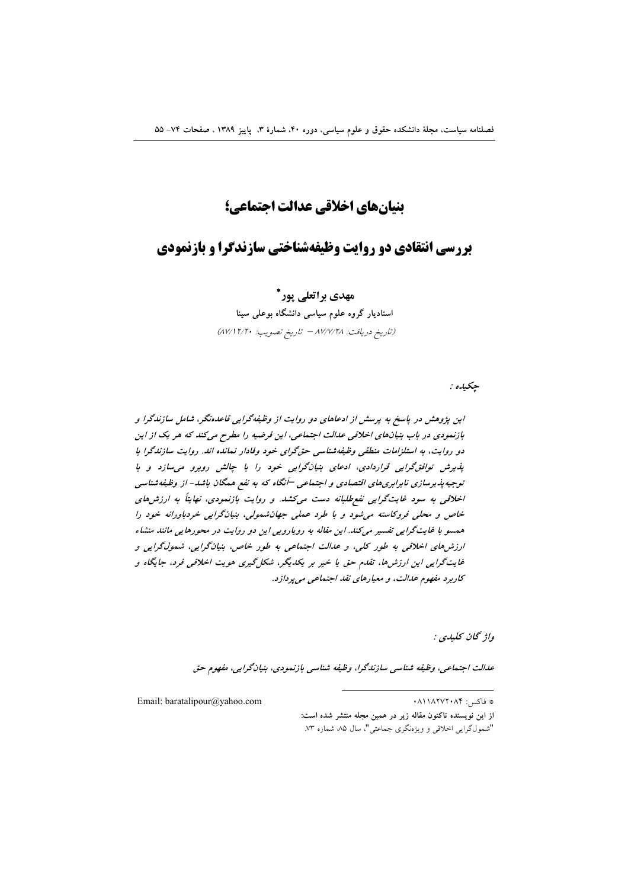## ينيانهاي اخلاقي عدالت احتماعي؛

# **بررسی انتقادی دو روایت وظیفهشناختی سازندگرا و بازنمودی**

## مهدی براتعلی پور\*

استادیار گروه علوم سیاسی دانشگاه بوعلی سینا (تاريخ دريافت: ٨٧/٧/٢٨ - تاريخ تصويب: ٨٧/١٢/٢٠)

جکيده :

این پژوهش در پاسخ به پرسش از ادعاهای دو روایت از وظیفهگرایی قاعدهنگر، شامل سازندگرا و بازنمودي در باب بنيانهاي اخلاقي عدالت اجتماعي، اين فرضيه را مطرح مي كند كه هر يك از اين دو روایت، به استلزامات منطقی وظیفهشناسی حق گرای خود وفادار نمانده اند. روایت سازندگرا با پذیرش توافق گرایی قراردادی، ادعای بنیان گرایی خود را با چالش روبرو می سازد و با توجیه پذیرسازی نابرابری های اقتصادی و اجتماعی –آنگاه که به نفع همگان باشد- از وظیفهشناسی اخلاقی به سود غایتگرایی نفع طلبانه دست می کشد. و روایت بازنمودی، نهایتاً به ارزش های .<br>خاص و محلي فروكاسته مي شود و با طرد عملي جهان شمولي، بنيانگرايي خردباورانه خود را همسو با غایتگرایی تفسیر میکند. این مقاله به روپارویی این دو روایت در محورهایی مانند منشاء ارزش های اخلاقی به طور کلی، و عدالت اجتماعی به طور خاص، بنیانگرایی، شمولگرایی و غایتگرایی این ارزش ها، تقدم حق با خیر بر یکدیگر، شکل گیری هویت اخلاقی فرد، جایگاه و كاربرد مفهوم عدالت، و معيارهاي نقد اجتماعي مي پردازد.

واژ ځان کليدي :

عدالت اجتماعي، وظيفه شناسي سازندگرا، وظيفه شناسي بازنمودي، بنيانگرايي، مفهوم حق

Email: baratalipour@yahoo.com

\* فاكس: ۸۴۰٬۲۷۲۰۸۴.

از این نویسنده تاکنون مقاله زیر در همین مجله منتشر شده است: "شمولگرايي اخلاقي و ويژهنگري جماعتي"، سال ۸۵ شماره ۷۳.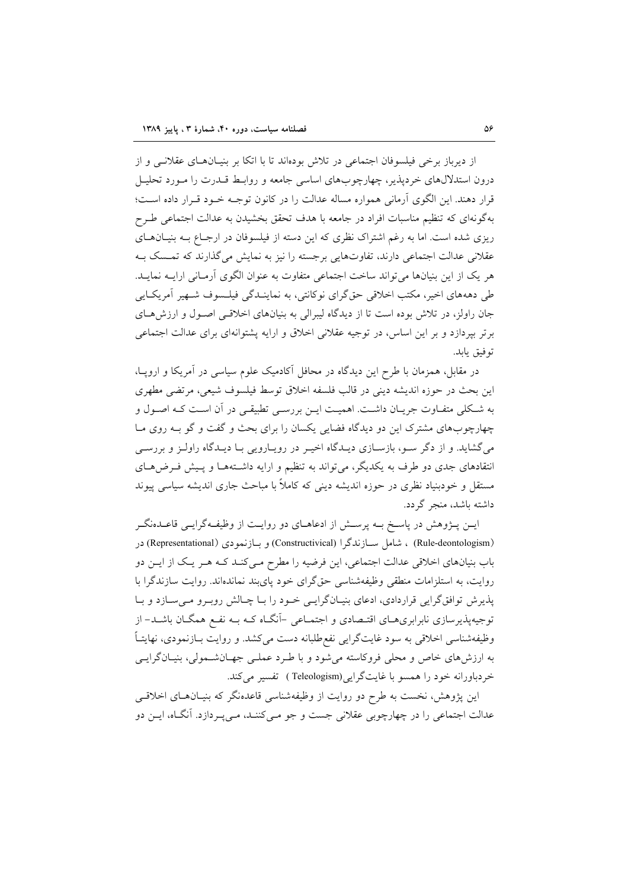از دیرباز برخی فیلسوفان اجتماعی در تلاش بودماند تا با اتکا بر بنیــان۱صـای عقلانــی و از درون استدلالهای خردیذیر، چهارچوبهای اساسی جامعه و روابط قــدرت را مــورد تحلیــل قرار دهند. این الگوی آرمانی همواره مساله عدالت را در کانون توجـه خـود قـرار داده اسـت؛ بهگونهای که تنظیم مناسبات افراد در جامعه با هدف تحقق بخشیدن به عدالت اجتماعی طـرح ریزی شده است. اما به رغم اشتراک نظری که این دسته از فیلسوفان در ارجـاع بـه بنیـانهـای عقلانی عدالت اجتماعی دارند، تفاوتهایی برجسته را نیز به نمایش میگذارند که تمسک بـه هر یک از این بنیانها می تواند ساخت اجتماعی متفاوت به عنوان الگوی آرمـانی ارایــه نمایــد. طی دهههای اخیر، مکتب اخلاقی حق گرای نوکانتی، به نماینـدگی فیلـسوف شـهیر آمریکـایی جان راولز، در تلاش بوده است تا از دیدگاه لیبرالی به بنیانهای اخلاقی اصول و ارزش های برتر بیردازد و بر این اساس، در توجیه عقلانی اخلاق و ارایه پشتوانهای برای عدالت اجتماعی توفيق يابد.

در مقابل، همزمان با طرح این دیدگاه در محافل آکادمیک علوم سیاسی در اَمریکا و اروپــا، این بحث در حوزه اندیشه دینی در قالب فلسفه اخلاق توسط فیلسوف شیعی، مرتضی مطهری به شـكلي متفـاوت جريـان داشـت. اهميـت ايـن بررسـي تطبيقـي در آن اسـت كـه اصـول و چهارچوبهای مشترک این دو دیدگاه فضایی یکسان را برای بحث و گفت و گو بـه روی مـا می گشاید. و از دگر سـو، بازسـازی دیـدگاه اخیـر در رویـارویی بـا دیـدگاه راولـز و بررسـی انتقادهای جدی دو طرف به یکدیگر، میتواند به تنظیم و ارایه داشتهها و پیش فرضهای مستقل و خودبنیاد نظری در حوزه اندیشه دینی که کاملاً با مباحث جاری اندیشه سیاسی پیوند داشته باشد، منجر گردد.

ایــن پــژوهش در پاســخ بــه پرســش از ادعاهــای دو روایــت از وظیفــهگرایــی قاعــدهنگــر (Rule-deontologism) ، شامل ســازندگرا (Constructivical) و بــازنمودي (Representational) در باب بنیانهای اخلاقی عدالت اجتماعی، این فرضیه را مطرح مـیکنـد کـه هـر یـک از ایــن دو روایت، به استلزامات منطقی وظیفهشناسی حقگرای خود پایبند نماندهاند. روایت سازندگرا با یذیرش توافقگرایی قراردادی، ادعای بنیـانگرایـی خـود را بـا چـالش روبـرو مـیسـازد و بـا توجیه پذیرسازی نابرابریهـای اقتـصادی و اجتمـاعی –آنگـاه کـه بــه نفــع همگــان باشــد– از وظیفهشناسی اخلاقی به سود غایتگرایی نفع طلبانه دست میکشد. و روایت بـازنمودی، نهایتـاً به ارزشهای خاص و محلی فروکاسته میشود و با طرد عملی جهـانشـمولی، بنیـانگرایـی خردباورانه خود را همسو با غايتگرايي (Teleologism ) تفسير مي كند.

این پژوهش، نخست به طرح دو روایت از وظیفهشناسی قاعدهنگر که بنیـانهـای اخلاقـی عدالت اجتماعی را در چهارچوبی عقلانی جست و جو مـی۵کننـد، مـیپـردازد. آنگـاه، ایــن دو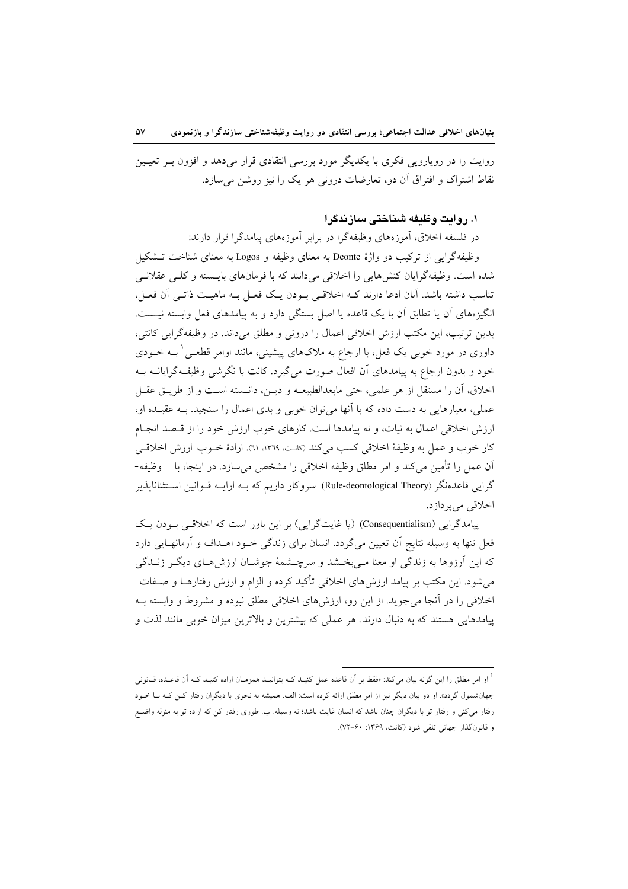روایت را در رویارویی فکری با یکدیگر مورد بررسی انتقادی قرار میدهد و افزون بــر تعیــین نقاط اشتراک و افتراق آن دو، تعارضات درونے ہر یک را نیز روشن مے سازد.

### ۰. روایت وظیفه شیناختی ساز ندگرا

در فلسفه اخلاق، آموزههای وظیفهگرا در برابر آموزههای پیامدگرا قرار دارند:

وظيفهگرايي از تركيب دو واژهٔ Deonte به معناي وظيفه و Logos به معناي شناخت تــشكيل شده است. وظیفهگرایان کنشهایی را اخلاقی میدانند که با فرمانهای بایسته و کلبی عقلانبی تناسب داشته باشد. آنان ادعا دارند کـه اخلاقـی بـودن یـک فعـل بـه ماهیـت ذاتـی آن فعـل، انگیزههای آن یا تطابق آن با یک قاعده یا اصل بستگی دارد و به پیامدهای فعل وابسته نیـست. بدین ترتیب، این مکتب ارزش اخلاقی اعمال را درونی و مطلق میداند. در وظیفهگرایی کانتی، داوری در مورد خوبی یک فعل، با ارجاع به ملاکهای پیشینی، مانند اوامر قطعـی ٰ بــه خــودی خود و بدون ارجاع به پیامدهای آن افعال صورت میگیرد. کانت با نگرشی وظیفهگرایانــه بــه اخلاق، أن را مستقل از هر علمي، حتى مابعدالطبيعـه و ديـن، دانـسته اسـت و از طريـق عقـل عملي، معيارهايي به دست داده كه با آنها مي توان خوبي و بدي اعمال را سنجيد. بـه عقيـده او، ارزش اخلاقی اعمال به نیات، و نه پیامدها است. کارهای خوب ارزش خود را از قبصد انجبام كار خوب و عمل به وظيفة اخلاقي كسب مي كند (كانت، ١٣٦٩، ٦١). ارادة خــوب ارزش اخلاقــي اّن عمل را تأمین می کند و امر مطلق وظیفه اخلاقی را مشخص می سازد. در اینجا، با وظیفه-گرایی قاعدهنگر (Rule-deontological Theory) سروکار داریم که بــه ارایــه قــوانین اســتثنانایذیر اخلاقي مي پردازد.

پیامدگرایی (Consequentialism) (یا غایتگرایی) بر این باور است که اخلاقبی بودن یک فعل تنها به وسیله نتایج اّن تعیین میگردد. انسان برای زندگی خـود اهــداف و اّرمانهـایی دارد که این آرزوها به زندگی او معنا مـیبخـشد و سرچـشمهٔ جوشـان ارزشهـای دیگـر زنــدگی میشود. این مکتب بر پیامد ارزشهای اخلاقی تأکید کرده و الزام و ارزش رفتارهــا و صــفات اخلاقی را در آنجا می جوید. از این رو، ارزشهای اخلاقی مطلق نبوده و مشروط و وابسته بـه پیامدهایی هستند که به دنبال دارند. هر عملی که بیشترین و بالاترین میزان خوبی مانند لذت و

<sup>۔&</sup>lt;br>او امر مطلق را این گونه بیان می کند: «فقط بر آن قاعده عمل کنیـد کـه بتوانیـد همزمـان اراده کنیـد کـه آن قاعـده، قـانونی جهان شمول گردد». او دو بیان دیگر نیز از امر مطلق ارائه کرده است: الف. همیشه به نحوی با دیگران رفتار کـن کـه بـا خــود رفتار میکنی و رفتار تو با دیگران چنان باشد که انسان غایت باشد؛ نه وسیله. ب. طوری رفتار کن که اراده تو به منزله واضع و قانون گذار جهانی تلقی شود (کانت، ۱۳۶۹: ۶۰-۷۲).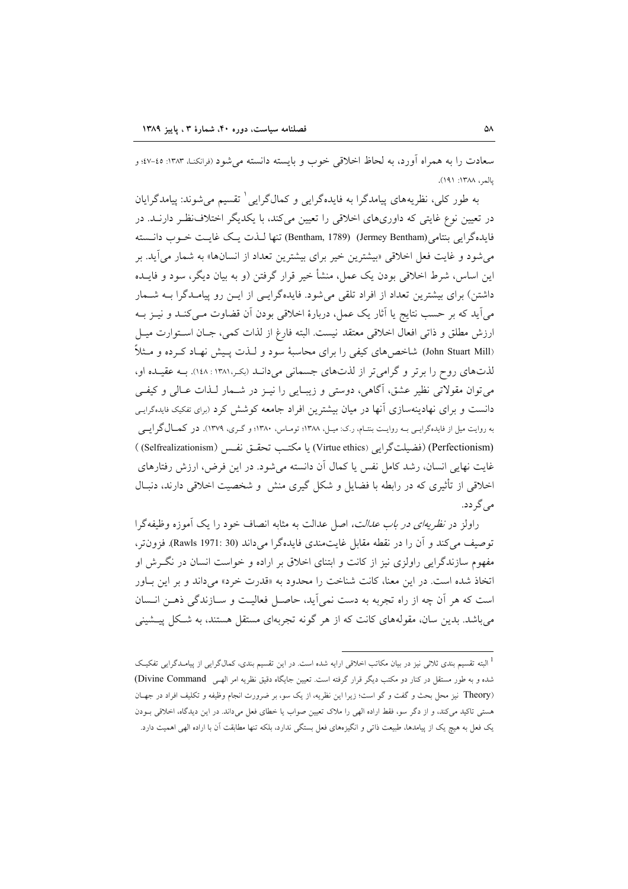سعادت را به همراه آورد، به لحاظ اخلاقی خوب و بایسته دانسته می شود (فرانکنـ) ۱۳۸۳: ٤٥-٤٧؛ و يالمبر، ١٣٨٨: ١٩١).

به طور کلی، نظریههای پیامدگرا به فایدهگرایی و کمالگرایی ٰ تقسیم می شوند: پیامدگرایان در تعیین نوع غایتی که داوریهای اخلاقی را تعیین می کند، با یکدیگر اختلاف نظر دارنـد. در فايدهگرايي بنتامي (Jermey Bentham) (Bentham, 1789) تنها لـذت يـك غايـت خـوب دانـسته می شود و غایت فعل اخلاقی «بیشترین خیر برای بیشترین تعداد از انسانها» به شمار می آید. بر این اساس، شرط اخلاقی بودن یک عمل، منشأ خیر قرار گرفتن (و به بیان دیگر، سود و فایــده داشتن) برای بیشترین تعداد از افراد تلقی می شود. فایدهگرایسی از ایــن رو پیامــدگرا بــه شــمار میآید که بر حسب نتایج یا آثار یک عمل، دربارهٔ اخلاقی بودن آن قضاوت مـیکنـد و نیــز بــه ارزش مطلق و ذاتي افعال اخلاقي معتقد نيست. البته فارغ از لذات كمي، جـان اسـتوارت ميـل (John Stuart Mill) شاخص های کیفی را برای محاسبهٔ سود و لـذت پـیش نهـاد کـرده و مـثلاً لذتهای روح را برتر و گرامیتر از لذتهای جسمانی میدانـد (بکـر،۱۳۸۱ : ۱٤۸). بـه عقیـده او، می توان مقولاتی نظیر عشق، آگاهی، دوستی و زیبایی را نیـز در شـمار لـذات عـالی و کیفـی دانست و برای نهادینهسازی آنها در میان بیشترین افراد جامعه کوشش کرد (برای تفکیک فایدهگرایی به روایت میل از فایدهگرایسی بـه روایـت بنتـام، ر.ک: میـل، ۱۳۸۸؛ تومـاس، ۱۳۸۰؛ و گـری، ۱۳۷۹). در کمـال گر ایـمی (Perfectionism) (فضيلت گرايي (Virtue ethics) يا مكتب تحقيق نفس (Selfrealizationism) ) غايت نهايي انسان، رشد كامل نفس يا كمال أن دانسته مي شود. در اين فرض، ارزش رفتارهاي اخلاقی از تأثیری که در رابطه با فضایل و شکل گیری منش و شخصیت اخلاقی دارند، دنبـال مے گے دد.

راولز در *نظریهای در باب عدالت،* اصل عدالت به مثابه انصاف خود را یک آموزه وظیفهگرا توصيف مي كند و آن را در نقطه مقابل غايتمندي فايده گرا مي داند (Rawls 1971: 30). فزون تر، مفهوم سازندگرایی راولزی نیز از کانت و ابتنای اخلاق بر اراده و خواست انسان در نگرش او اتخاذ شده است. در این معنا، کانت شناخت را محدود به «قدرت خرد» می داند و بر این باور است که هر آن چه از راه تجربه به دست نمی آید، حاصـل فعالیـت و سـازندگی ذهـن انـسان می باشد. بدین سان، مقولههای کانت که از هر گونه تجربهای مستقل هستند، به شـکل پیـشینی

<sup>۔&</sup>lt;br>البته تقسیم بندی ثلاثے نیز در بیان مکاتب اخلاقی ارایه شده است. در این تقسیم بندی، کمالگرایی از پیامـدگرایی تفکیـک شده و به طور مستقل در کنار دو مکتب دیگر قرار گرفته است. تعیین جایگاه دقیق نظریه امر الهے , Divine Command) (Theory نیز محل بحث و گفت و گو است؛ زیرا این نظریه، از یک سو، بر ضرورت انجام وظیفه و تکلیف افراد در جهـان هستی تاکید میکند، و از دگر سو، فقط اراده الهی را ملاک تعیین صواب یا خطای فعل میداند. در این دیدگاه، اخلاقی بودن یک فعل به هیچ یک از پیامدها، طبیعت ذاتی و انگیزههای فعل بستگی ندارد، بلکه تنها مطابقت آن با اراده الهی اهمیت دارد.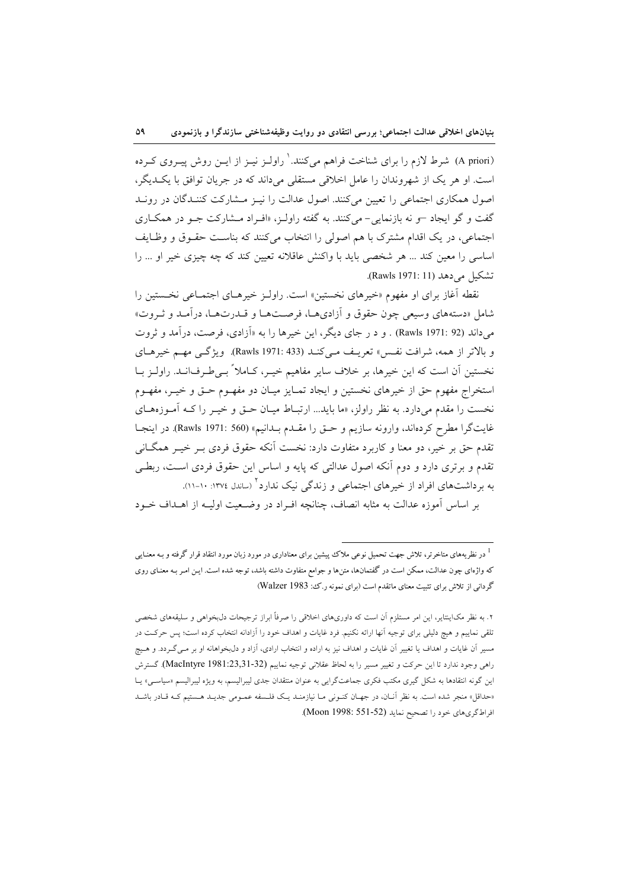(A priori) شرط لازم را برای شناخت فراهم میکنند. ٰ راولـز نیـز از ایــن روش پیــروی کــرده است. او هر یک از شهروندان را عامل اخلاقی مستقلی می داند که در جریان توافق با یک دیگر، اصول همکاری اجتماعی را تعیین میکنند. اصول عدالت را نیـز مـشارکت کننـدگان در رونـد گفت و گو ایجاد –و نه بازنمایی- میکنند. به گفته راولـز، «افـراد مـشارکت جـو در همکـاری اجتماعي، در يک اقدام مشترک با هم اصولي را انتخاب مي کنند که بناست حقـوق و وظـايف اساسی را معین کند ... هر شخصی باید با واکنش عاقلانه تعیین کند که چه چیزی خیر او ... را تشكيل مي دهد (Rawls 1971: 11).

نقطه آغاز برای او مفهوم «خیرهای نخستین» است. راولـز خیرهـای اجتمـاعی نخـستین را شامل «دستههای وسیعی چون حقوق و آزادیهـا، فرصـتهـا و قــدرتهـا، درآمـد و ثـروت» می داند (92 :Rawls 1971) . و د ر جای دیگر، این خیرها را به «آزادی، فرصت، درآمد و ثروت و بالاتر از همه، شرافت نفس) تعریـف مـیکنـد (Rawls 1971: 433). ویژگـی مهـم خیرهـای نخستین آن است که این خیرها، بر خلاف سایر مفاهیم خیـر، کـاملاً بـیطـرف|نــد. راولــز بــا استخراج مفهوم حق از خيرهاى نخستين و ايجاد تمـايز ميـان دو مفهـوم حـق و خيـر، مفهـوم نخست را مقدم میدارد. به نظر راولز، «ما باید... ارتبـاط میـان حـق و خیـر را کـه آمـوزههـای غايتگرا مطرح كردهاند، وارونه سازيم و حـق را مقـدم بـدانيم» (Rawls 1971: 560). در اينجـا تقدم حق بر خیر، دو معنا و کاربرد متفاوت دارد: نخست آنکه حقوق فردی بـر خیـر همگــانی تقدم و برتری دارد و دوم آنکه اصول عدالتی که پایه و اساس این حقوق فردی است، ربطی به برداشتهای افراد از خیرهای اجتماعی و زندگی نیک ندارد<sup>۲</sup> (ساندل ۱۳۷٤: ۱۰-۱۱).

بر اساس آموزه عدالت به مثابه انصاف، چنانچه افـراد در وضـعیت اولیـه از اهـداف خـود

در نظریههای متاخرتر، تلاش جهت تحمیل نوعی ملاک پیشین برای معناداری در مورد زبان مورد انتقاد قرار گرفته و بـه معنـایی  $^1$ که واژهای چون عدالت، ممکن است در گفتمانها، متنها و جوامع متفاوت داشته باشد، توجه شده است. ایـن امـر بـه معنـای روی گردانی از تلاش برای تثبیت معنای ماتقدم است (برای نمونه ر.ک؛ Walzer 1983)

۲. به نظر مکاینتایر، این امر مستلزم آن است که داوریهای اخلاقی را صرفاً ابراز ترجیحات دل،بخواهی و سلیقههای شخصی .<br>تلقی نماییم و هیچ دلیلی برای توجیه آنها ارائه نکنیم. فرد غایات و اهداف خود را آزادانه انتخاب کرده است؛ پس حرکت در مسیر آن غایات و اهداف یا تغییر آن غایات و اهداف نیز به اراده و انتخاب ارادی، آزاد و دل $بخواهانه او بر مـی گــردد. و هـیچ$ راهي وجود ندارد تا اين حركت و تغيير مسير را به لحاظ عقلاني توجيه نماييم (MacIntyre 1981:23,31-32). گسترش این گونه انتقادها به شکل گیری مکتب فکری جماعتگرایی به عنوان منتقدان جدی لیبرالیسم، به ویژه لیبرالیسم «سیاسی» یـا «حداقل» منجر شده است. به نظر آنـان، در جهـان كنـونى مـا نيازمنـد يـك فلـسفه عمـومى جديـد هـستيم كـه قـادر باشـد افراط گريهاي خود را تصحيح نمايد (Moon 1998: 551-52).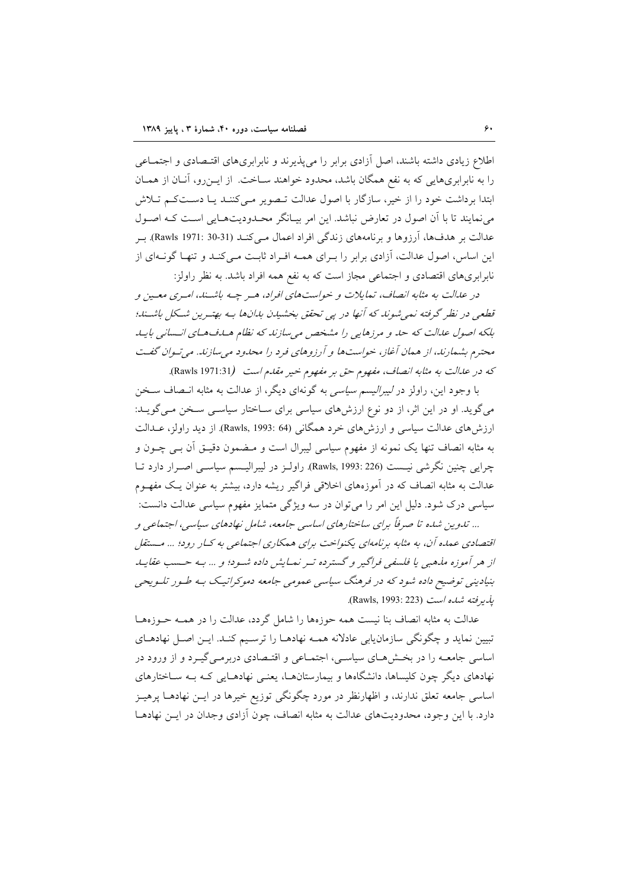اطلاع زیادی داشته باشند، اصل آزادی برابر را می پذیرند و نابرابریهای اقتـصادی و اجتمــاعی را به نابرابریهایی که به نفع همگان باشد، محدود خواهند سـاخت. از ایــزرو، آنــان از همــان ابتدا برداشت خود را از خیر، سازگار با اصول عدالت تصویر می کننـد یـا دسـتکـم تـلاش می نمایند تا با آن اصول در تعارض نباشد. این امر بیـانگر محـدودیتهـایی اسـت کـه اصـول عدالت بر هدفها، آرزوها و برنامههای زندگی افراد اعمال مـیکنـد (Rawls 1971: 30-31). بـر این اساس، اصول عدالت، آزادی برابر را بـرای همـه افـراد ثابـت مـیکنـد و تنهـا گونـهای از نابرابریهای اقتصادی و اجتماعی مجاز است که به نفع همه افراد باشد. به نظر راولز:

در عدالت به مثابه انصاف، تمایلات و خواستهای افراد، هـر چـه باشـند، امـری معـین و قطعی در نظر گرفته نمی شوند که آنها در پی تحقق بخشیدن بدانها به بهترین شکل باشتند؛ بلکه اصول عدالت که حد و مرزهایی را مشخص می سازند که نظام هساف هسای انسانی بایید محترم بشمارند، از همان آغاز، خواستها و آرزوهای فرد را محدود می سازند. می تیوان گفت که در علىالت به مثابه انصاف، مفهوم حق بر مفهوم خير مقلىم است (Rawls 1971:31).

با وجود این، راولز در *لیبرالیسم سیاسی* به گونهای دیگر، از عدالت به مثابه انـصاف سـخن می گوید. او در این اثر، از دو نوع ارزشهای سیاسی برای سـاختار سیاسـی سـخن مـی گویـد: ارزش های عدالت سیاسی و ارزش های خرد همگانی (Rawls, 1993: 64). از دید راولز، عــدالت به مثابه انصاف تنها یک نمونه از مفهوم سیاسی لیبرال است و مـضمون دقیــق اَن بــی چــون و چرایی چنین نگرشی نیست (226 :Rawls, 1993). راولـز در لیبرالیـسم سیاسـی اصـرار دارد تـا عدالت به مثابه انصاف که در آموزههای اخلاقی فراگیر ریشه دارد، بیشتر به عنوان یـک مفهــوم سیاسی درک شود. دلیل این امر را می توان در سه ویژگی متمایز مفهوم سیاسی عدالت دانست: ... تدوین شده تا صرفاً برای ساختارهای اساسی جامعه، شامل نهادهای سیاسی، اجتماعی و

اقتصادی عمده آن، به مثابه برنامهای یکنواخت برای همکاری اجتماعی به کـار رود؛ ... مـستقل از هر آموزه مذهبی یا فلسفی فراگیر و گسترده تـر نمـایش داده شـود؛ و ... بـه حـسب عقایـله بنیادینی توضیح داده شود که در فرهنگ سیاسی عمومی جامعه دموکراتیک بـه طـور تلـویحی يذير فته شده است (Rawls, 1993: 223).

عدالت به مثابه انصاف بنا نیست همه حوزهها را شامل گردد، عدالت را در همـه حـوزههـا تبیین نماید و چگونگی سازمان یابی عادلانه همـه نهادهـا را ترسـیم کنـد. ایـن اصـل نهادهـای اساسی جامعـه را در بخـشهـای سیاسـی، اجتمـاعی و اقتـصادی دربرمـیEگیـرد و از ورود در نهادهای دیگر چون کلیساها، دانشگاهها و بیمارستانهـا، یعنـی نهادهـایی کـه بـه سـاختارهای اساسی جامعه تعلق ندارند، و اظهارنظر در مورد چگونگی توزیع خیرها در ایــن نهادهــا پرهیــز دارد. با این وجود، محدودیتهای عدالت به مثابه انصاف، چون آزادی وجدان در ایـن نهادهـا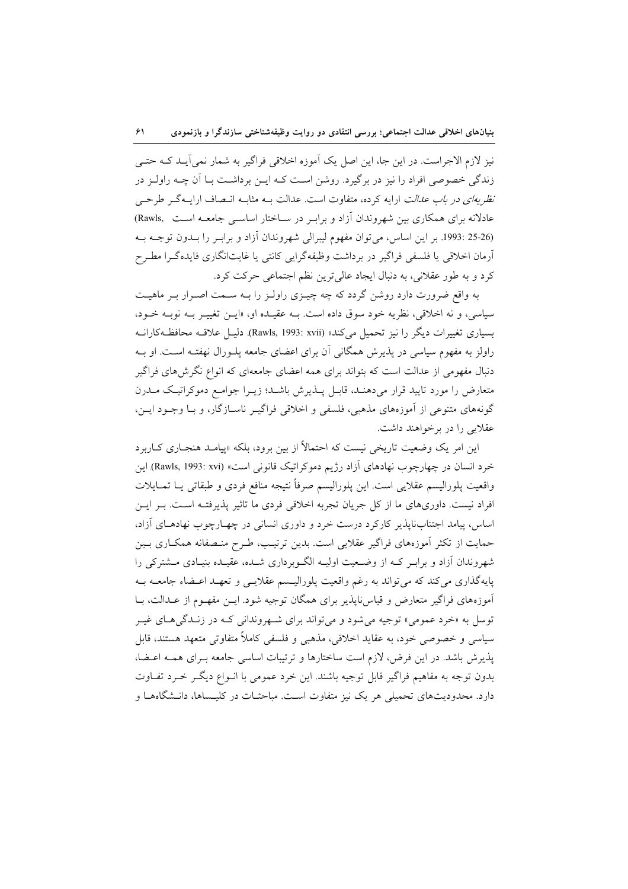نیز لازم الاجراست. در این جا، این اصل یک آموزه اخلاقی فراگیر به شمار نمی آیــد کــه حتــی زندگی خصوصی افراد را نیز در برگیرد. روشن است کـه ایــن برداشــت بــا آن چــه راولــز در نظر ب*دای در باب عدالت* ارایه کرده، متفاوت است. عدالت بـه مثابـه انـصاف ارایـهگـر طرحـی عادلانه برای همکاری بین شهروندان آزاد و براب ددر سـاختار اساســی جامعــه اسـت Rawls, (26-25 :1993. بر اين اساس، مي توان مفهوم ليبرالي شهروندان آزاد و برابـر را بـدون توجـه بـه آرمان اخلاقی یا فلسفی فراگیر در برداشت وظیفهگرایی کانتی یا غایتانگاری فایدهگرا مطـرح كرد و به طور عقلاني، به دنبال ايجاد عالى ترين نظم اجتماعي حركت كرد.

به واقع ضرورت دارد روشن گردد که چه چیـزی راولـز را بـه سـمت اصـرار بـر ماهیـت سیاسی، و نه اخلاقی، نظریه خود سوق داده است. بـه عقیـده او، «ایـن تغییـر بـه نوبـه خـود، بسیاری تغییرات دیگر را نیز تحمیل میکند» (Rawls, 1993: xvii). دلیـل علاقـه محافظـهکارانـه راولز به مفهوم سیاسی در پذیرش همگانی آن برای اعضای جامعه پلـورال نهفتـه اسـت. او بـه دنبال مفهومی از عدالت است که بتواند برای همه اعضای جامعهای که انواع نگرشهای فراگیر متعارض را مورد تایید قرار میدهنـد، قابـل پـذیرش باشـد؛ زیـرا جوامـع دموکراتیـک مـدرن گونههای متنوعی از آموزههای مذهبی، فلسفی و اخلاقی فراگیـر ناسـازگار، و بـا وجـود ایــن، عقلایی را در برخواهند داشت.

این امر یک وضعیت تاریخی نیست که احتمالاً از بین برود، بلکه «پیامـد هنجـاری کـاربرد خرد انسان در چهارچوب نهادهای آزاد رژیم دموکراتیک قانونی است» (Rawls, 1993: xvi) این واقعيت پلوراليسم عقلايي است. اين پلوراليسم صرفاً نتيجه منافع فردى و طبقاتي يــا تمــايلات افراد نیست. داوریهای ما از کل جریان تجربه اخلاقی فردی ما تاثیر پذیرفتـه اسـت. بـر ایـن اساس، پیامد اجتنابناپذیر کارکرد درست خرد و داوری انسانی در چهـارچوب نهادهـای آزاد، حمایت از تکثر آموزههای فراگیر عقلایی است. بدین ترتیب، طـرح منـصفانه همکـاری بـین شهروندان آزاد و برابـر کـه از وضـعیت اولیـه الگـوبرداری شـده، عقیـده بنیـادی مـشترکی را پایهگذاری میکند که میتواند به رغم واقعیت پلورالیــسم عقلایــی و تعهــد اعــضاء جامعــه بــه آموزههای فراگیر متعارض و قیاس ناپذیر برای همگان توجیه شود. ایــن مفهــوم از عــدالت، بــا توسل به «خرد عمومي» توجيه مي شود و مي تواند براي شـهرونداني كـه در زنـدگي هـاي غيـر سیاسی و خصوصی خود، به عقاید اخلاقی، مذهبی و فلسفی کاملاً متفاوتی متعهد هستند، قابل یذیرش باشد. در این فرض، لازم است ساختارها و ترتیبات اساسی جامعه بـرای همـه اعـضا، بدون توجه به مفاهيم فراگير قابل توجيه باشند. اين خرد عمومي با انـواع ديگــر خــرد تفــاوت دارد. محدودیتهای تحمیلی هر یک نیز متفاوت است. مباحثـات در کلیـساها، دانــشگاههــا و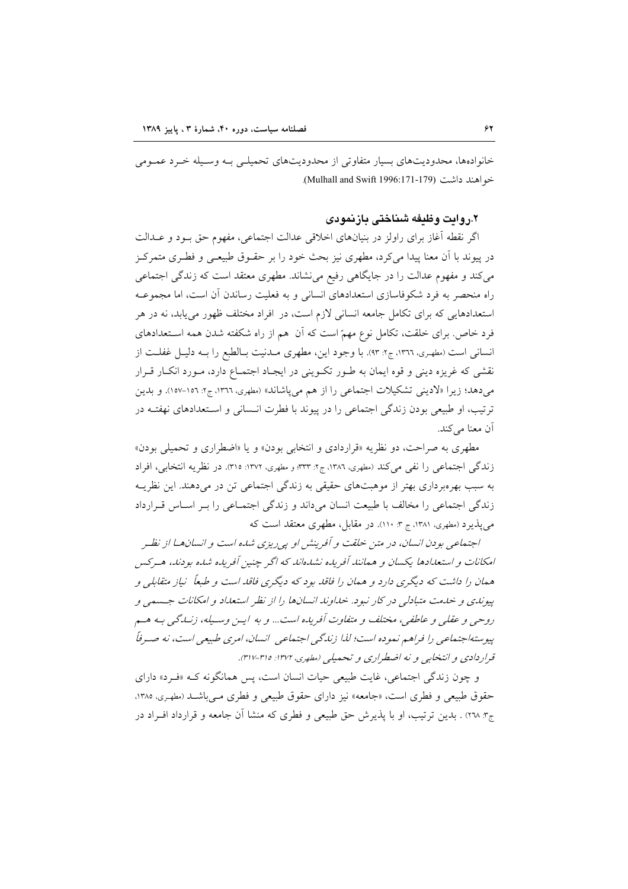خانوادهها، محدودیتهای بسیار متفاوتی از محدودیتهای تحمیلـی بـه وسـیله خـرد عمـومی خواهند داشت (Mulhall and Swift 1996:171-179).

### ٢.روايت وظيفه شناختي بازنمودي

اگر نقطه آغاز برای راولز در بنیانهای اخلاقی عدالت اجتماعی، مفهوم حق بـود و عــدالت در پیوند با آن معنا پیدا می کرد، مطهری نیز بحث خود را بر حقـوق طبیعـی و فطـری متمرکـز میکند و مفهوم عدالت را در جایگاهی رفیع می نشاند. مطهری معتقد است که زندگی اجتماعی راه منحصر به فرد شکوفاسازی استعدادهای انسانی و به فعلیت رساندن آن است، اما مجموعـه استعدادهایی که برای تکامل جامعه انسانی لازم است، در افراد مختلف ظهور می یابد، نه در هر فرد خاص. برای خلقت، تکامل نوع مهمّ است که آن هم از راه شکفته شدن همه اسـتعدادهای انسانی است (مطهری، ١٣٦٦، ج٢: ٩٣). با وجود این، مطهری مـدنیت بـالطبع را بـه دلیـل غفلـت از نقشی که غریزه دینی و قوه ایمان به طـور تکـوینی در ایجـاد اجتمـاع دارد، مـورد انکـار قـرار می دهد؛ زیرا «لادینی تشکیلات اجتماعی را از هم می پاشاند» (مطهری، ١٣٦٦، ج۲: ١٥٦-١٥٧). و بدین ترتیب، او طبیعی بودن زندگی اجتماعی را در پیوند با فطرت انـسانی و اسـتعدادهای نهفتـه در آن معنا مي كند.

مطهري به صراحت، دو نظريه «قراردادي و انتخابي بودن» و يا «اضطراري و تحميلي بودن» زندگی اجتماعی را نفی می کند (مطهری، ١٣٨٦، ج٢: ٣٣٣؛ و مطهری، ١٣٧٢: ٣١٥). در نظريه انتخابی، افراد به سبب بهرهبرداری بهتر از موهبتهای حقیقی به زندگی اجتماعی تن در میدهند. این نظریـه زندگی اجتماعی را مخالف با طبیعت انسان میداند و زندگی اجتمـاعی را بـر اسـاس قـرارداد می پذیرد (مطهری، ۱۳۸۱، ج ۳: ۱۱۰). در مقابل، مطهری معتقد است که

اجتماعی بودن انسان، در متن خلقت و آفرینش او پی ریزی شده است و انسان هـا از نظـر امکانات و استعدادها یکسان و همانند آفریده نشدهاند که اگر چنین آفریده شده بودند، هیرکس همان را داشت که دیگری دارد و همان را فاقد بود که دیگری فاقد است و طبعاً نیاز متقابلی و پیوندی و خدمت متبادلی در کار نبود. خداوند انسانها را از نظر استعداد و امکانات جسمی و روحيي و عقلي و عاطفي، مختلف و متفاوت آفريده است... و به ايــز وســيله، زنــدگـي بــه هــم پیوستهٔاجتماعی را فراهم نموده است؛ لذا زندگی اجتماعی ِ انسان، امری طبیعی است، نه صـرفاً قراردادی و انتخابی و نه اضطراری و تحمیلی (مطهری، ۱۳۷۲: ۳۱۵-۳۱۷).

و چون زندگی اجتماعی، غایت طبیعی حیات انسان است، پس همانگونه کـه «فـرد» دارای حقوق طبیعی و فطری است، «جامعه» نیز دارای حقوق طبیعی و فطری مـیباشـد (مطهـری، ۱۳۸۵. ج۳. ۲۷) . بدین ترتیب، او با پذیرش حق طبیعی و فطری که منشا آن جامعه و قرارداد افـراد در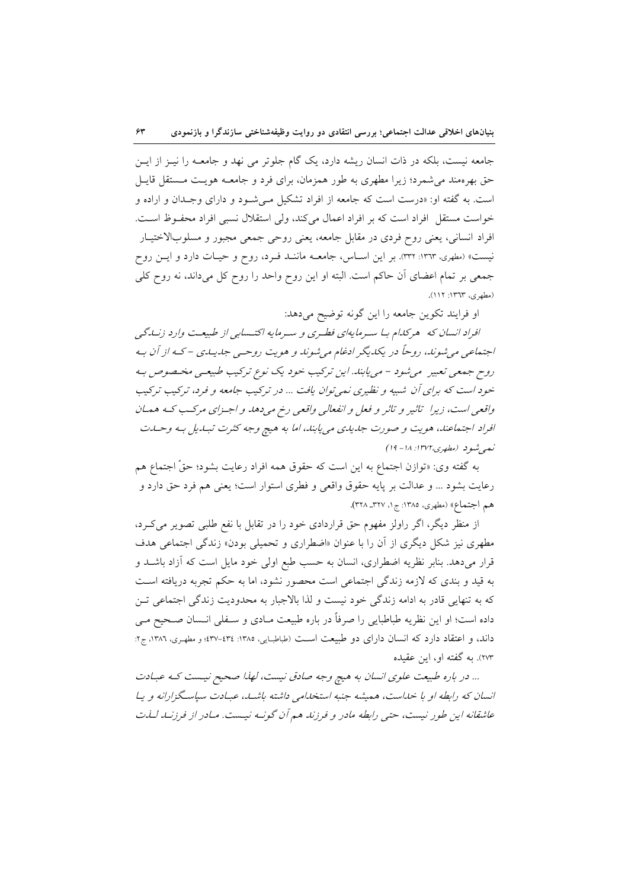جامعه نیست، بلکه در ذات انسان ریشه دارد، یک گام جلوتر می نهد و جامعـه را نیـز از ایـن حق بهرهمند می شمرد؛ زیرا مطهری به طور همزمان، برای فرد و جامعــه هویـت مــستقل قایــل است. به گفته او: «درست است که جامعه از افراد تشکیل مـی شـود و دارای وجـدان و اراده و خواست مستقل افراد است كه بر افراد اعمال مى كند، ولى استقلال نسبى افراد محفوظ است. افراد انسانی، یعنی روح فردی در مقابل جامعه، یعنی روحی جمعی مجبور و مسلوبالاختیـار نیست» (مطهری، ١٣٦٣: ٣٣٢). بر این اسـاس، جامعــه ماننــد فـرد، روح و حیـات دارد و ایــن روح جمعی بر تمام اعضای آن حاکم است. البته او این روح واحد را روح کل میداند، نه روح کلی (مطهري، ١٣٦٣: ١١١).

او فرايند تكوين جامعه را اين گونه توضيح مي دهد:

افراد انسان که هر کلام با سرمایهای فطری و سرمایه اکتـسابی از طبیعـت وارد زنـلگی اجتماعي مي شوند، روحاً در پکديگر ادغام مي شوند و هويت روحـي جديـدي – کـه از آن بـه روح جمعي تعبير مي شود – مي يابند. اين تركيب خود يك نوع تركيب طبيعـي مخـصوص بـه خود است که برای آن شبیه و نظیری نمی توان یافت ... در ترکیب جامعه و فرد، ترکیب ترکیب واقعی است، زیرا تاثیر و تاثر و فعل و انفعالی واقعی رخ می دهد و اجـزای مرکـب کـه همـان افراد اجتماعند، هويت و صورت جديدي مي يابند، اما به هيچ وجه كثرت تبديل به وحسات نعي شود (مطهري،١٣٧٢: ١٨ - ١٩)

به گفته وي: «توازن اجتماع به اين است كه حقوق همه افراد رعايت بشود؛ حقَّ اجتماع هم رعايت بشود … و عدالت بر پايه حقوق واقعي و فطري استوار است؛ يعني هم فرد حق دارد و هم اجتماع» (مطهري، ١٣٨٥: ج١، ٣٢٧\_ ٣٢٨).

از منظر دیگر، اگر راولز مفهوم حق قراردادی خود را در تقابل با نفع طلبی تصویر می کـرد، مطهری نیز شکل دیگری از آن را با عنوان «اضطراری و تحمیلی بودن» زندگی اجتماعی هدف قرار میدهد. بنابر نظریه اضطراری، انسان به حسب طبع اولی خود مایل است که آزاد باشـد و به قید و بندی که لازمه زندگی اجتماعی است محصور نشود، اما به حکم تجربه دریافته است كه به تنهايي قادر به ادامه زندگي خود نيست و لذا بالاجبار به محدوديت زندگي اجتماعي تـن داده است؛ او این نظریه طباطبایی را صرفاً در باره طبیعت مـادی و سـفلی انـسان صـحیح مـی داند، و اعتقاد دارد که انسان دارای دو طبیعت است (طباطبایی، ۱۳۸۵: ۲۴٤-۲۳۷؛ و مطهری، ۱۳۸۶، ج۲: ۲۷۳). به گفته او، این عقیده

... در باره طبیعت علوی انسان به هیچ وجه صادق نیست، لهذا صحیح نیست که عبادت انسان که رابطه او با خداست، همیشه جنبه استخدامی داشته باشد، عبادت سیاسگزارانه و یا عاشقانه این طور نیست، حتبی رابطه مادر و فرزند هم آن گونـه نیـست. مـادر از فرزنـد لـذت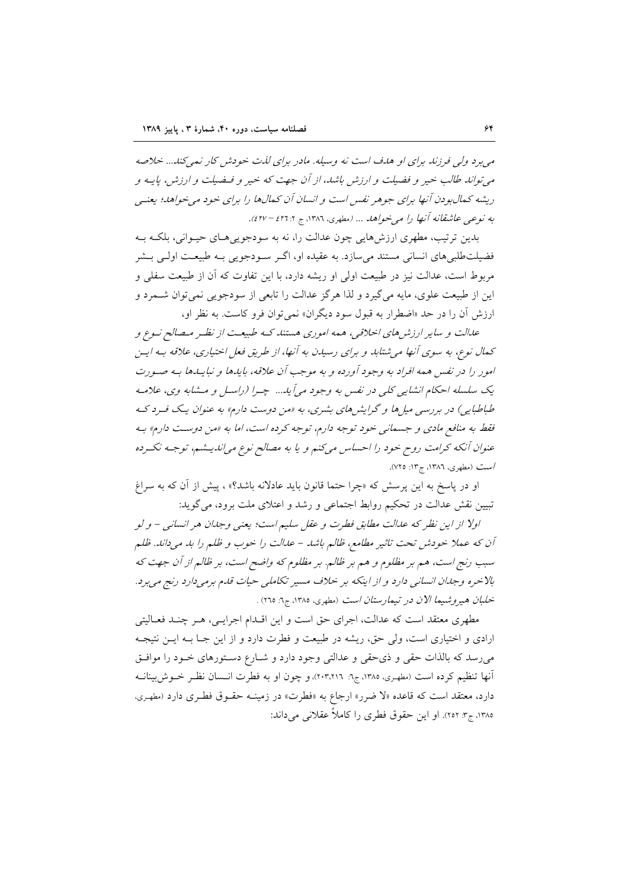می برد ولی فرزند برای او هدف است نه وسیله. مادر برای لذت خودش کار نمی کند... خلاصه می تواند طالب خیر و فضیلت و ارزش باشد، از آن جهت که خیر و فیضیلت و ارزش) پاییه و ریشه کمال بودن آنها برای جوهر نفس است و انسان آن کمالها را برای خود می خواهد؛ یعنسی به نوعبي عاشقانه آنها را مي خواهد ... (مطهري، ١٣٨٦، ج ٤٢٦: ٤٢٧).

بدين ترتيب، مطهري ارزش هايي چون عدالت را، نه به سودجويي هـاي حيـواني، بلكـه بـه فضیلتطلبیهای انسانی مستند میسازد. به عقیده او، اگـر سـودجویی بـه طبیعـت اولـی بـشر مربوط است، عدالت نیز در طبیعت اولی او ریشه دارد، با این تفاوت که آن از طبیعت سفلی و این از طبیعت علوی، مایه می گیرد و لذا هر گز عدالت را تابعی از سودجویی نمی توان شــمرد و ارزش آن را در حد «اضطرار به قبول سود دیگران» نمی توان فرو کاست. به نظر او،

عدالت و سایر ارزش های اخلاقی، همه اموری هستند کـه طبیعـت از نظـر مـصالح نـوع و کهال نوع، به سوی آنها می شتابد و برای رسیدن به آنها، از طریق فعل اختیاری، علاقه بـه ایـن امور را در نفس همه افراد به وجود آورده و به موجب آن علاقه، بایدها و نبایـدها بـه صـورت يک سلسله احکام انشايي کلي در نفس به وجود مي آيد... چـرا (راسـل و مـشابه وي، علامـه طباطبایی) در بررسی میل ها و گرایش های بشری، به «من دوست دارم» به عنوان یک فرد ک فقط به منافع مادی و جسمانی خود توجه دارم، توجه کرده است، اما به «من دوست دارم» به عنوان آنکه کرامت روح خود را احساس میکنم و یا به مصالح نوع میاندیشم، توجـه نکـرده /ست (مطهری، ۱۳۸٦، ج۱۳: ۷۲۵).

او در پاسخ به این پرسش که «چرا حتما قانون باید عادلانه باشد؟» ، پیش از آن که به سراغ تبيين نقش عدالت در تحكيم روابط اجتماعي و رشد و اعتلاى ملت برود، مي گويد:

اولا از این نظر که عدالت مطابق فطرت و عقل سلیم است؛ یعنی وجدان هر انسانی – و لو آن كه عملا خودش تحت تاثير مطامع، ظالم باشد – عدالت را خوب و ظلم را بد مي داند. ظلم سبب رنج است، هم بر مظلوم و هم بر ظالم. بر مظلوم که واضح است، بر ظالم از آن جهت که بالاخره وجلان انسانی دارد و از اینکه بر خلاف مسیر تکاملی حیات قلم برمیدارد رنج می برد. خلبان هيروشيما الان در تيمارستان است (مطهري، ١٣٨٥، ج٦: ٢٦٥) .

مطهری معتقد است که عدالت، اجرای حق است و این اقـدام اجرایـی، هـر چنـد فعـالیتی ارادی و اختیاری است، ولی حق، ریشه در طبیعت و فطرت دارد و از این جـا بـه ایـن نتیجـه می رسد که بالذات حقی و ذی حقی و عدالتی وجود دارد و شـارع دسـتورهای خـود را موافـق آنها تنظیم کرده است (مطهری، ۱۳۸۵، ج۱: ۲۰۳٬۲۱٦)، و چون او به فطرت انـسان نظـر خــوش(بینانــه دارد، معتقد است که قاعده «لا ضرر» ارجاع به «فطرت» در زمینــه حقــوق فطـری دارد (مطهـری، ١٣٨٥، ج٣: ٢٥٢). او اين حقوق فطري را كاملاً عقلاني مي داند: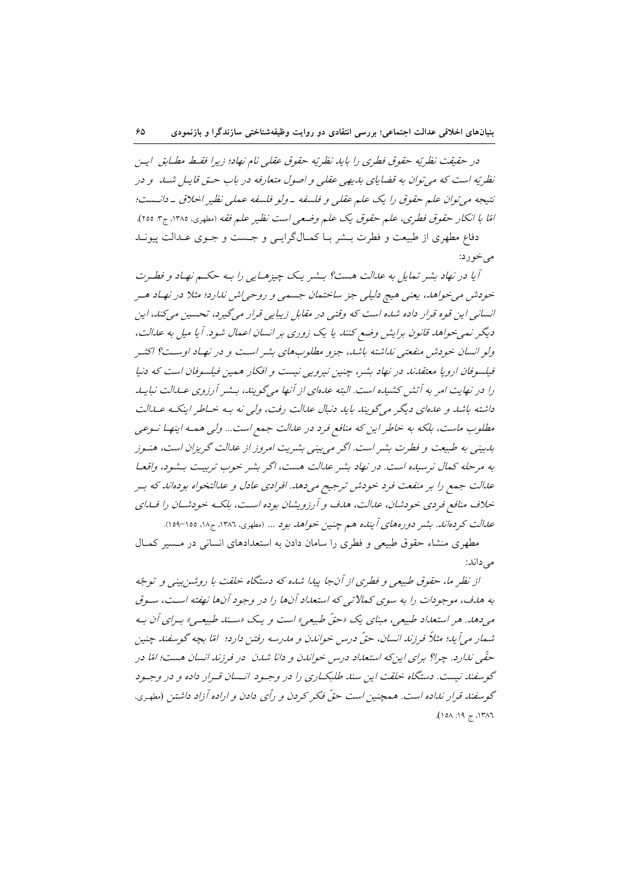در حقيقت نظريّه حقوق فطري را بايد نظريّه حقوق عقلي نام نهاد؛ زيرا فقبط مطباق ايس نظر په است که می توان به قضایای بدیهی عقلی و اصول متعارفه در باب حتی قابیل شید. و در نتيجه مي توان علم حقوق را يک علم عقلي و فلسفه -ولو فلسفه عملي نظير اخلاق - دانست؛ امًا با انكار حقوق فطري، علم حقوق يك علم وضعي است نظير علم فقه (مطهري، ١٣٨٥، ج٣: ٢٥٥). دفاع مطهري از طبيعت و فطرت بـشر بـا كمـالگرايـي و جـست و جـوي عـدالت پيونـد

می خورد:

آیا در نهاد بشر تمایل به عدالت هست؟ بـشر یـک چیزهـایی را بـه حکـم نهـاد و فطـرت خودش می خواهد، یعنی هیچ دلیلی جز ساختمان جسمی و روحی اش ندارد؛ مثلا در نهاد هسر انسانبي اين قوه قرار داده شده است كه وقتبي در مقابل زيبايي قرار مي گيرد، تحسين مي كند، اين دیگر نمی خواهد قانون برایش وضع کنند یا یک زوری بر انسان اعمال شود. آیا میل به عدالت، ولو انسان خودش منفعتبي نداشته باشد، جزو مطلوبهاي بشر است و در نهـاد اوسـت؟ اكثـر فیلسوفان اروپا معتقاناند در نهاد بشر، چنین نیرویی نیست و افکار همین فیلسوفان است که دنیا را در نهایت امر به آتش کشیده است. البته عدهای از آنها میگویند، بـشر آرزوی عـدالت نبایـد داشته باشد و عدهای دیگر میگویند باید دنبال عدالت رفت، ولی نه بـه خـاطر اینکـه عـدالت مطلوب ماست، بلکه به خاطر این که منافع فرد در عدالت جمع است... ولی همـه اینهـا نـوعی بدبینی به طبیعت و فطرت بشر است. اگر می بینی بشریت امروز از عدالت گریزان است، هنـوز به مرحله كمال نرسيده است. در نهاد بشر عدالت هست، اگر بشر خوب تربيت بـشود، واقعـا علىالت جمع را بر منفعت فرد خودش ترجيح مى دهد. افرادى عادل و عدالتخواه بودهاند كه بـر خلاف منافع فردی خودشان، عدالت، هدف و آرزویشان بوده است، بلکه خودشان را فساای علىالت كردهانك. بشير دورههاي آينده هم چنين خواهد بود ... (مطهري، ١٣٨٦، ج١٨، ١٥٥–١٥٩).

مطهری منشاء حقوق طبیعی و فطری را سامان دادن به استعدادهای انسانی در مسیر کمال مے رداند:

از نظر ما، حقوق طبیعی و فطری از آنجا پیدا شده که دستگاه خلقت با روشن بینی و توجّه به هدف، موجودات را به سوی کمالاتی که استعداد آنها را در وجود آنها نهفته است، سوق مه دهد. هر استعداد طبیعه ، مینای یک «حقّ طبیعه » است و یک «سند طبیعه » بیرای آن به شمار مي آيد؛ مثلاً فرزند انسان، حقّ درس خواندن و مدرسه رفتن دارد؛ امّا بچه گوسفند چنين حقّی ندارد. چرا؟ برای این که استعداد درس خواندن و دانا شدن ٍ در فرزند انسان هست؛ امّا در گوسفند نیست. دستگاه خلقت این سند طلبکاری را در وجـود انـسان قـرار داده و در وجـود گوسفند قرار نداده است. همچنین است حقّ فکر کردن و رأی دادن و اراده آزاد داشتن (مطهری،  $(101.797, 19.77)$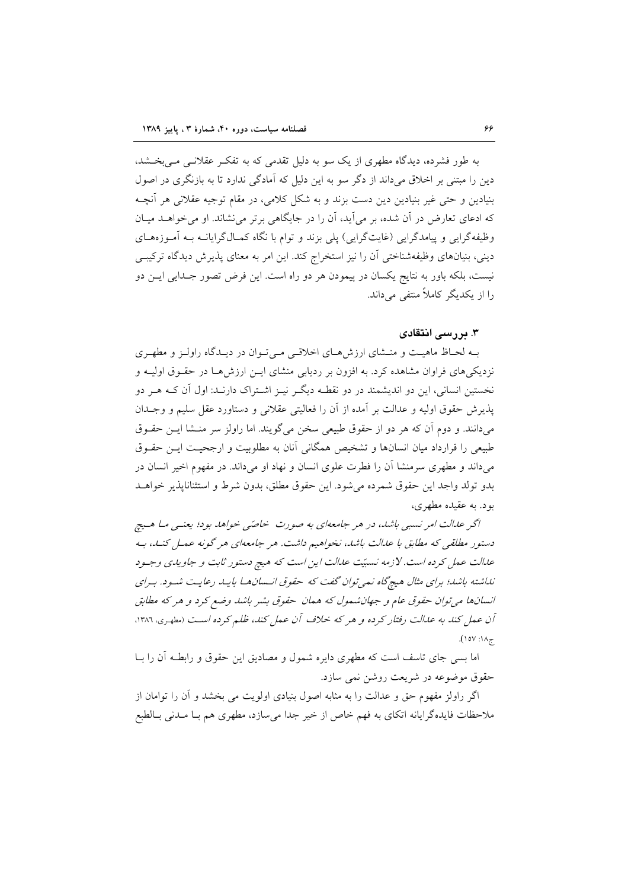به طور فشرده، دیدگاه مطهری از یک سو به دلیل تقدمی که به تفک عقلانبی مبی بخشد، دین را مبتنی بر اخلاق می داند از دگر سو به این دلیل که آمادگی ندارد تا به بازنگری در اصول بنیادین و حتی غیر بنیادین دین دست بزند و به شکل کلامی، در مقام توجیه عقلانی هر آنچـه که ادعای تعارض در آن شده، بر می آید، آن را در جایگاهی برتر می نشاند. او می خواهـد میـان وظیفهگرایی و پیامدگرایی (غایتگرایی) پلی بزند و توام با نگاه کمـالگرایانــه بــه آمـوزههـای دینی، بنیانهای وظیفهشناختی آن را نیز استخراج کند. این امر به معنای پذیرش دیدگاه ترکیبے نیست، بلکه باور به نتایج یکسان در پیمودن هر دو راه است. این فرض تصور جـدایی ایــن دو را از یکدیگر کاملاً منتفی می داند.

### ۳. دررسی انتقادی

بـه لحـاظ ماهيـت و منـشاى ارزش هـاى اخلاقـى مـى تـوان در ديـدگاه راولـز و مطهـرى نزدیکیهای فراوان مشاهده کرد. به افزون بر ردیابی منشای ایـن ارزش۵هـا در حقـوق اولیـه و نخستین انسانی، این دو اندیشمند در دو نقطـه دیگـر نیــز اشــتراک دارنــد: اول آن کــه هــر دو پذیرش حقوق اولیه و عدالت بر آمده از آن را فعالیتی عقلانی و دستاورد عقل سلیم و وجـدان میدانند. و دوم آن که هر دو از حقوق طبیعی سخن میگویند. اما راولز سر منـشا ایـن حقـوق طبیعی را قرارداد میان انسانها و تشخیص همگانی آنان به مطلوبیت و ارجحیت ایـن حقـوق میداند و مطهری سرمنشا آن را فطرت علوی انسان و نهاد او میداند. در مفهوم اخیر انسان در بدو تولد واجد این حقوق شمرده میشود. این حقوق مطلق، بدون شرط و استثناناپذیر خواهـد بود. به عقیده مطهری،

اگر علىالت امر نسبي باشد، در هر جامعهاي به صورت خاصّي خواهد بود؛ يعنيي مـا هـيچ دستور مطلقی که مطابق با عدالت باشد، نخواهیم داشت. هر جامعهای هر گونه عمل کنــد، بـه عدالت عمل کرده است. لازمه نسبیّت عدالت این است که هیچ دستور ثابت و جاویدی وجـود نداشته باشد؛ برای مثال هیچگاه نمی توان گفت که حقوق انسان ها بایـد رعایـت شـود. بـرای انسانها می توان حقوق عام و جهانشمول که همان حقوق بشیر باشد وضع کرد و هر که مطابق آن عمل كند به عدالت رفتار كرده و هر كه خلاف آن عمل كند، ظلم كرده است (مطهري، ١٣٨٦،  $(10V)$ 

اما بسی جای تاسف است که مطهری دایره شمول و مصادیق این حقوق و رابطـه آن را بــا حقوق موضوعه در شريعت روشن نمي سازد.

اگر راولز مفهوم حق و عدالت را به مثابه اصول بنیادی اولویت می بخشد و آن را توامان از ملاحظات فایدهگرایانه اتکای به فهم خاص از خیر جدا می سازد، مطهری هم بـا مـدنی بـالطبع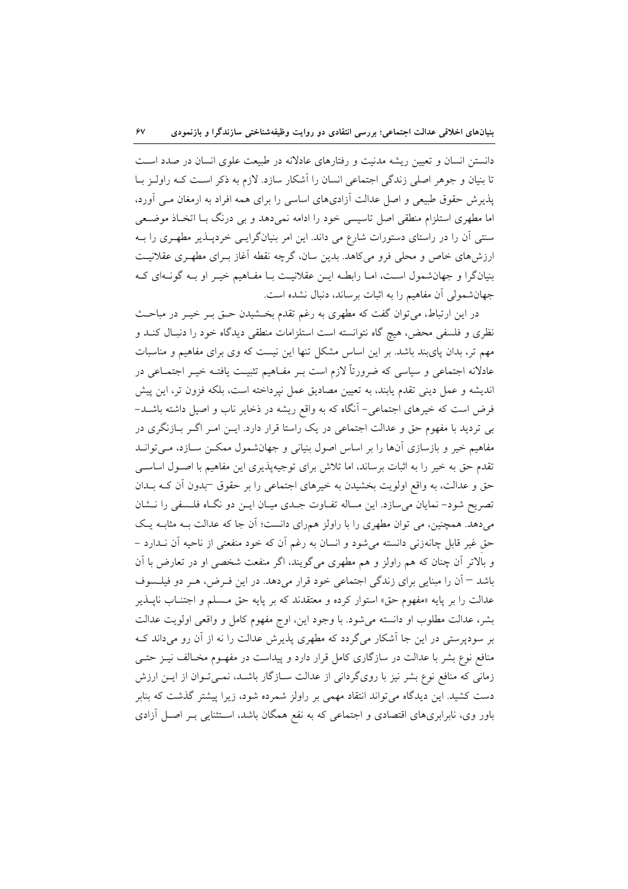دانستن انسان و تعیین ریشه مدنیت و رفتارهای عادلانه در طبیعت علوی انسان در صدد است تا بنیان و جوهر اصلی زندگی اجتماعی انسان را آشکار سازد. لازم به ذکر است کـه راولـز بــا پذیرش حقوق طبیعی و اصل عدالت آزادیهای اساسی را برای همه افراد به ارمغان مـی آورد، اما مطهری استلزام منطقی اصل تاسیسی خود را ادامه نمیدهد و بی درنگ بـا اتخـاذ موضـعی سنتی آن را در راستای دستورات شارع می داند. این امر بنیانگرایسی خردپـذیر مطهـری را بـه ارزش،های خاص و محلی فرو میکاهد. بدین سان، گرچه نقطه آغاز بـرای مطهـری عقلانیـت بنیانگرا و جهانشمول است، امـا رابطـه ایــن عقلانیـت بـا مفـاهیم خیـر او بـه گونـهای کـه جهان شمولی آن مفاهیم را به اثبات برساند، دنبال نشده است.

در این ارتباط، می توان گفت که مطهری به رغم تقدم بخشیدن حـق بـر خیـر در مباحـث نظری و فلسفی محض، هیچ گاه نتوانسته است استلزامات منطقی دیدگاه خود را دنبال کنـد و مهم تر، بدان پایبند باشد. بر این اساس مشکل تنها این نیست که وی برای مفاهیم و مناسبات عادلانه اجتماعی و سیاسی که ضرورتاً لازم است بـر مفــاهیم تثبیــت یافتــه خیــر اجتمــاعی در اندیشه و عمل دینی تقدم یابند، به تعیین مصادیق عمل نپرداخته است، بلکه فزون تر، این پیش فرض است که خیرهای اجتماعی– آنگاه که به واقع ریشه در ذخایر ناب و اصیل داشته باشــد– بی تردید با مفهوم حق و عدالت اجتماعی در یک راستا قرار دارد. ایـن امـر اگـر بـازنگری در مفاهیم خیر و بازسازی آنها را بر اساس اصول بنیانی و جهانشمول ممکـن سـازد، مـیتوانـد تقدم حق به خیر را به اثبات برساند، اما تلاش برای توجیهپذیری این مفاهیم با اصـول اساسـی حق و عدالت، به واقع اولویت بخشیدن به خیرهای اجتماعی را بر حقوق –بدون اّن کــه بــدان تصریح شود- نمایان می سازد. این مساله تفـاوت جـدی میـان ایـن دو نگـاه فلـسفی را نــشان میدهد. همچنین، می توان مطهری را با راولز همرای دانست؛ آن جا که عدالت بـه مثابـه یـک حق غیر قابل چانهزنی دانسته می شود و انسان به رغم آن که خود منفعتی از ناحیه آن نـدارد – و بالاتر آن چنان که هم راولز و هم مطهری میگویند، اگر منفعت شخصی او در تعارض با آن باشد <sup>—</sup> آن را مبنایی برای زندگی اجتماعی خود قرار میدهد. در این فـرض، هـر دو فیلـسوف عدالت را بر پايه «مفهوم حق» استوار كرده و معتقدند كه بر پايه حق مـسلم و اجتنــاب ناپــذير بشر، عدالت مطلوب او دانسته می شود. با وجود این، اوج مفهوم کامل و واقعی اولویت عدالت بر سودپرستی در این جا آشکار میگردد که مطهری پذیرش عدالت را نه از آن رو میداند ک منافع نوع بشر با عدالت در سازگاری کامل قرار دارد و پیداست در مفهـوم مخـالف نیــز حتــی زمانی که منافع نوع بشر نیز با رویگردانی از عدالت سـازگار باشـد، نمـیتوان از ایـن ارزش دست کشید. این دیدگاه میتواند انتقاد مهمی بر راولز شمرده شود، زیرا پیشتر گذشت که بنابر باور وی، نابرابریهای اقتصادی و اجتماعی که به نفع همگان باشد، اسـتثنایی بـر اصـل آزادی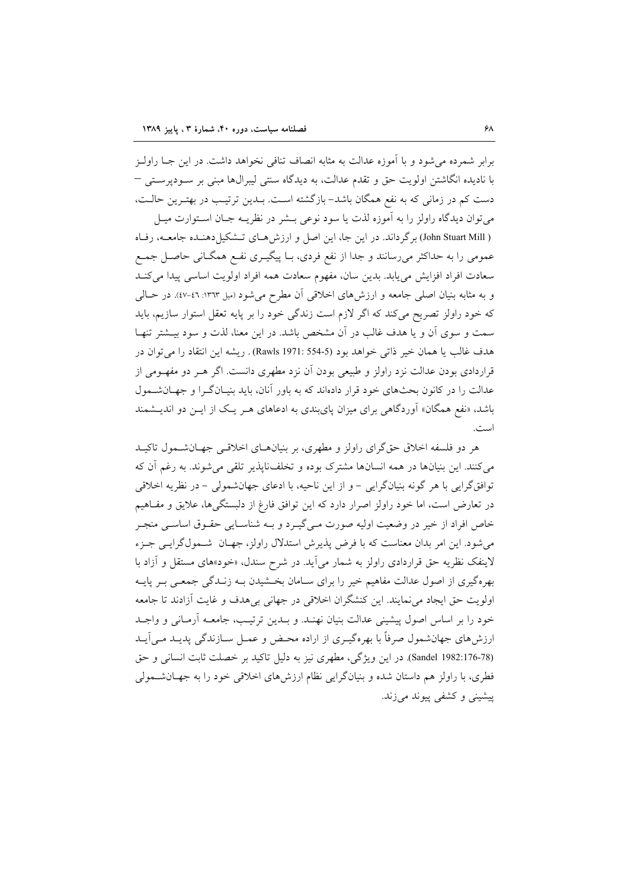برابر شمرده می شود و با آموزه عدالت به مثابه انصاف تنافی نخواهد داشت. در این جــا راولــز با نادیده انگاشتن اولویت حق و تقدم عدالت، به دیدگاه سنتی لیبرال&ا مبنی بر سـودپرسـتی  $-$ دست کم در زمانی که به نفع همگان باشد- بازگشته است. بــدین ترتیـب در بهتـرین حالـت، مي توان ديدگاه راولز را به آموزه لذت يا سود نوعي بــشر در نظريــه جــان اســتوارت ميــل ( John Stuart Mill ) بر گرداند. در این جا، این اصل و ارزش هـای تـشکیل دهنـده جامعـه، رفـاه عمومی را به حداکثر میرسانند و جدا از نفع فردی، بـا پیگیــری نفــع همگــانی حاصــل جمــع سعادت افراد افزايش مي يابد. بدين سان، مفهوم سعادت همه افراد اولويت اساسي پيدا مي كنـد و به مثابه بنيان اصلي جامعه و ارزشهاي اخلاقي آن مطرح مي شود (ميل ١٣٦٣: ٤٦-٤٧). در حـالـي که خود راولز تصریح میکند که اگر لازم است زندگی خود را بر پایه تعقل استوار سازیم، باید سمت و سوی آن و یا هدف غالب در آن مشخص باشد. در این معنا، لذت و سود بیـشتر تنهـا هدف غالب يا همان خير ذاتي خواهد بود (5-554 :Rawls 1971). ريشه اين انتقاد را مي توان در قراردادی بودن عدالت نزد راولز و طبیعی بودن آن نزد مطهری دانست. اگر هــر دو مفهــومی از عدالت را در کانون بحثهای خود قرار دادهاند که به باور آنان، باید بنیـانگـرا و جهـانشـمول باشد، «نفع همگان» آوردگاهی برای میزان پایبندی به ادعاهای هـر یـک از ایـن دو اندیـشمند است.

هر دو فلسفه اخلاق حقگرای راولز و مطهری، بر بنیانهـای اخلاقـی جهـانشـمول تاکیـد می کنند. این بنیانها در همه انسانها مشترک بوده و تخلف ناپذیر تلقی می شوند. به رغم آن که توافق گرايي با هر گونه بنيانگرايي - و از اين ناحيه، با ادعاي جهانشمولي - در نظريه اخلاقي در تعارض است، اما خود راولز اصرار دارد که این توافق فارغ از دلبستگیها، علایق و مفـاهیم خاص افراد از خیر در وضعیت اولیه صورت مـی&ـرد و بـه شناسـایی حقـوق اساسـی منجـر می شود. این امر بدان معناست که با فرض پذیرش استدلال راولز، جهـان شــمولگرایــی جـزء لاینفک نظریه حق قراردادی راولز به شمار می آید. در شرح سندل، «خود»های مستقل و آزاد با بهرهگیری از اصول عدالت مفاهیم خیر را برای سـامان بخـشیدن بــه زنــدگی جمعــی بــر پایــه اولویت حق ایجاد می نمایند. این کنشگران اخلاقی در جهانی بی هدف و غایت آزادند تا جامعه خود را بر اساس اصول پیشینی عدالت بنیان نهنـد. و بـدین ترتیـب، جامعـه آرمـانی و واجـد ارزش های جهانشمول صرفاً با بهرهگیـری از اراده محـض و عمـل سـازندگی پدیـد مـی آیـد (Sandel 1982:176-78). در این ویژگی، مطهری نیز به دلیل تاکید بر خصلت ثابت انسانی و حق فطري، با راولز هم داستان شده و بنيانگرايي نظام ارزش هاي اخلاقي خود را به جهـانشــمولي ييشيني وكشفى پيوند مىزند.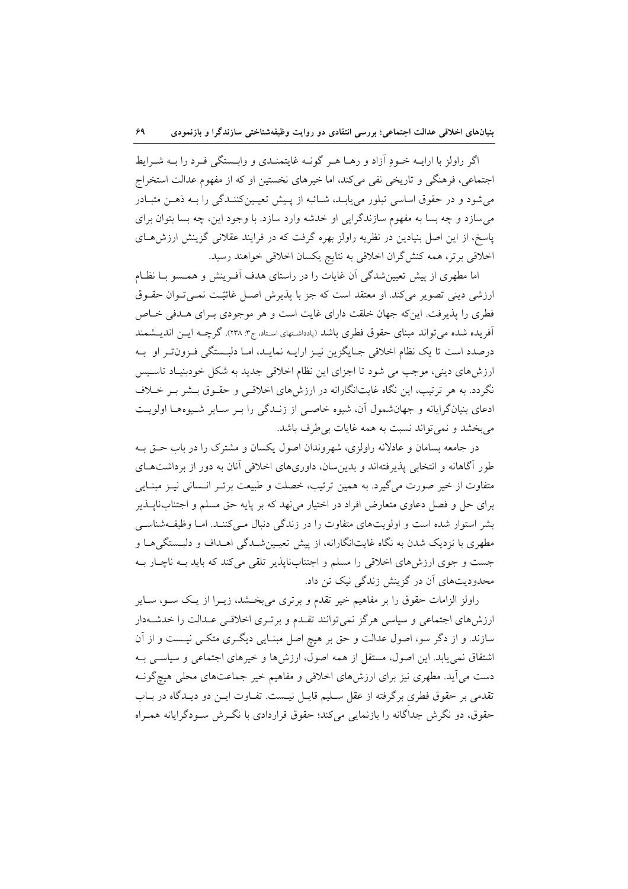اگر راولز با ارایــه خــودِ آزاد و رهــا هــر گونــه غایتمنــدی و وابــستگی فــرد را بــه شــرایط اجتماعی، فرهنگی و تاریخی نفی می کند، اما خیرهای نخستین او که از مفهوم عدالت استخراج می شود و در حقوق اساسی تبلور می یابـد، شـائبه از پـیش تعیـینکننـدگی را بـه ذهـن متبـادر می سازد و چه بسا به مفهوم سازندگرایی او خدشه وارد سازد. با وجود این، چه بسا بتوان برای پاسخ، از این اصل بنیادین در نظریه راولز بهره گرفت که در فرایند عقلانی گزینش ارزش هـای اخلاقی برتر، همه کنش گران اخلاقی به نتایج یکسان اخلاقی خواهند رسید.

اما مطهری از پیش تعیین شدگی آن غایات را در راستای هدف آفـرینش و همـسو بـا نظـام ارزشی دینی تصویر میکند. او معتقد است که جز با پذیرش اصـل غائیّـت نمـیتوان حقـوق فطری را پذیرفت. این که جهان خلقت دارای غایت است و هر موجودی بـرای هـدفی خـاص آفریده شده می تواند مبنای حقوق فطری باشد (یادداشتهای استاد، ج۳. ۲۳۸). گرچــه ایــن اندیــشمند درصدد است تا یک نظام اخلاقی جـایگزین نیـز ارایـه نمایـد، امـا دلبـستگی فـزونiتـر او بـه ارزشهای دینی، موجب می شود تا اجزای این نظام اخلاقی جدید به شکل خودبنیـاد تاسـیس نگردد. به هر ترتیب، این نگاه غایتانگارانه در ارزشهای اخلاقی و حقـوق بـشر بـر خـلاف ادعای بنیانگرایانه و جهانشمول آن، شیوه خاصبی از زنـدگی را بـر سـایر شـیوههـا اولویـت مي بخشد و نمي تواند نسبت به همه غايات بي طرف باشد.

در جامعه بسامان و عادلانه راولزی، شهروندان اصول یکسان و مشترک را در باب حــق بــه طور آگاهانه و انتخابی پذیرفتهاند و بدین سان، داوریهای اخلاقی آنان به دور از برداشتهای متفاوت از خیر صورت میگیرد. به همین ترتیب، خصلت و طبیعت برتـر انـسانی نیــز مبنـایی برای حل و فصل دعاوی متعارض افراد در اختیار می نهد که بر پایه حق مسلم و اجتنابناپــذیر بشر استوار شده است و اولویتهای متفاوت را در زندگی دنبال مـیکننـد. امـا وظیفـهشناسـی مطهری با نزدیک شدن به نگاه غایتانگارانه، از پیش تعیـینشــدگی اهــداف و دلبـستگی۵هــا و جست و جوی ارزشهای اخلاقی را مسلم و اجتنابناپذیر تلقی میکند که باید بـه ناچـار بـه محدودیتهای آن در گزینش زندگی نیک تن داد.

راولز الزامات حقوق را بر مفاهیم خیر تقدم و برتری می بخشد، زیــرا از یـک ســو، ســایر ارزشهای اجتماعی و سیاسی هرگز نمیتوانند تقـدم و برتـری اخلاقـی عـدالت را خدشـهدار سازند. و از دگر سو، اصول عدالت و حق بر هیچ اصل مبنـایی دیگـری متکـی نیـست و از آن اشتقاق نمی یابد. این اصول، مستقل از همه اصول، ارزشها و خیرهای اجتماعی و سیاسی بـه دست می آید. مطهری نیز برای ارزشهای اخلاقی و مفاهیم خیر جماعتهای محلی هیچگونـه تقدمی بر حقوق فطری برگرفته از عقل سـليم قايـل نيـست. تفـاوت ايـن دو ديـدگاه در بـاب حقوق، دو نگرش جداگانه را بازنمایی میکند؛ حقوق قراردادی با نگرش سـودگرایانه همـراه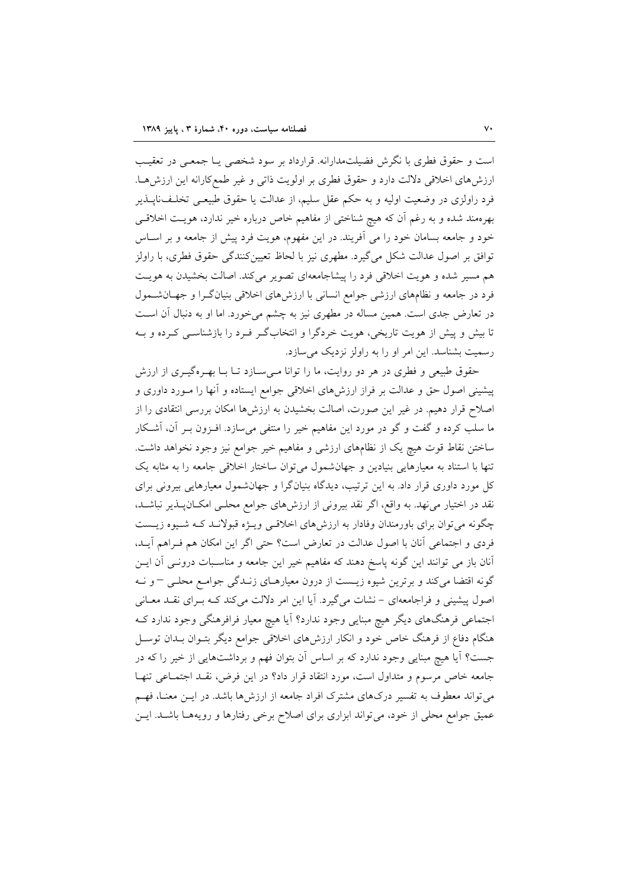است و حقوق فطری با نگرش فضیلتمدارانه. قرارداد بر سود شخصی یـا جمعـی در تعقیـب ارزش های اخلاقی دلالت دارد و حقوق فطری بر اولویت ذاتی و غیر طمع کارانه این ارزش هـا. فرد راولزی در وضعیت اولیه و به حکم عقل سلیم، از عدالت یا حقوق طبیعـی تخلـف:اپــذیر بهرهمند شده و به رغم آن که هیچ شناختی از مفاهیم خاص درباره خیر ندارد، هویـت اخلاقـی خود و جامعه بسامان خود را می آفریند. در این مفهوم، هویت فرد پیش از جامعه و بر اسـاس توافق بر اصول عدالت شکل می گیرد. مطهری نیز با لحاظ تعیینکنندگی حقوق فطری، با راولز هم مسیر شده و هویت اخلاقی فرد را پیشاجامعهای تصویر میکند. اصالت بخشیدن به هویت فرد در جامعه و نظامهای ارزشی جوامع انسانی با ارزشهای اخلاقی بنیانگرا و جهـانشـمول در تعارض جدی است. همین مساله در مطهری نیز به چشم میخورد. اما او به دنبال آن است تا بیش و پیش از هویت تاریخی، هویت خردگرا و انتخابگر فـرد را بازشناسـی کـرده و بـه رسمیت بشناسد. این امر او را به راولز نزدیک می سازد.

حقوق طبیعی و فطری در هر دو روایت، ما را توانا میسازد تـا بـا بهـرهگیـری از ارزش پیشینی اصول حق و عدالت بر فراز ارزش۵ای اخلاقی جوامع ایستاده و آنها را مـورد داوری و اصلاح قرار دهیم. در غیر این صورت، اصالت بخشیدن به ارزشها امکان بررسی انتقادی را از ما سلب کرده و گفت و گو در مورد این مفاهیم خیر را منتفی میسازد. افـزون بـر آن، آشـکار ساختن نقاط قوت هيچ يک از نظامهاى ارزشى و مفاهيم خير جوامع نيز وجود نخواهد داشت. تنها با استناد به معیارهایی بنیادین و جهانشمول میتوان ساختار اخلاقی جامعه را به مثابه یک کل مورد داوری قرار داد. به این ترتیب، دیدگاه بنیانگرا و جهانشمول معیارهایی بیرونی برای نقد در اختیار می نهد. به واقع، اگر نقد بیرونی از ارزش های جوامع محلـی امکــان پــذیر نباشــد، چگونه میتوان برای باورمندان وفادار به ارزشهای اخلاقی ویـژه قبولانـد کـه شـیوه زیـست فردي و اجتماعي آنان با اصول عدالت در تعارض است؟ حتى اگر اين امكان هم فـراهم آيـد، آنان باز می توانند این گونه پاسخ دهند که مفاهیم خیر این جامعه و مناسـبات درونــی آن ایــن گونه اقتضا میکند و برترین شیوه زیست از درون معیارهـای زنـدگی جوامـع محلـی – و نـه اصول پیشینی و فراجامعهای – نشات میگیرد. آیا این امر دلالت میکند کـه بـرای نقـد معـانی اجتماعی فرهنگهای دیگر هیچ مبنایی وجود ندارد؟ آیا هیچ معیار فرافرهنگی وجود ندارد ک هنگام دفاع از فرهنگ خاص خود و انکار ارزشهای اخلاقی جوامع دیگر بتـوان بـدان توسـل جست؟ آیا هیچ مبنایی وجود ندارد که بر اساس آن بتوان فهم و برداشتهایی از خیر را که در جامعه خاص مرسوم و متداول است، مورد انتقاد قرار داد؟ در این فرض، نقـد اجتمـاعی تنهـا می تواند معطوف به تفسیر درکهای مشترک افراد جامعه از ارزشها باشد. در ایــن معنــا، فهــم عمیق جوامع محلی از خود، می تواند ابزاری برای اصلاح برخی رفتارها و رویههـا باشـد. ایـن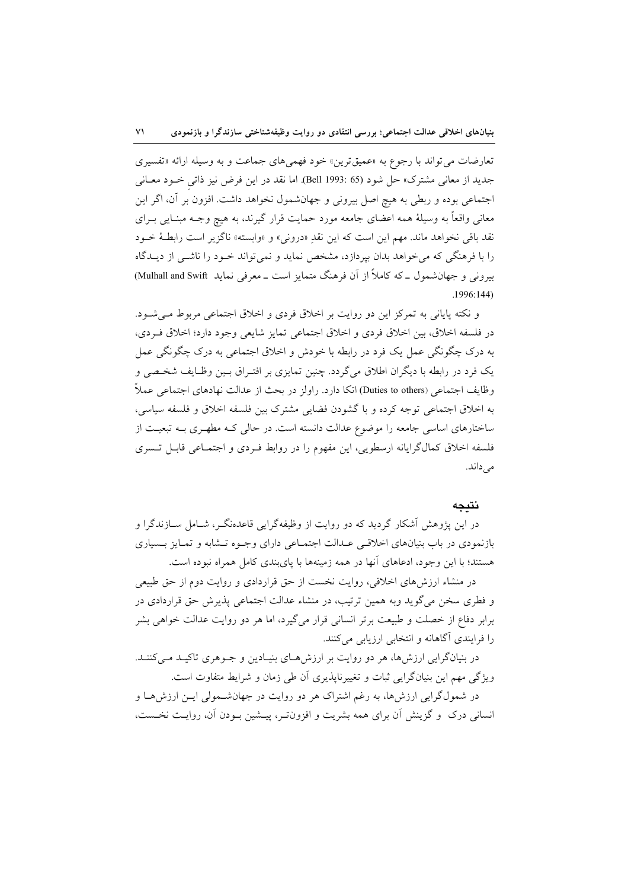تعارضات مي تواند با رجوع به «عميق ترين» خود فهمي هاي جماعت و به وسيله ارائه «تفسيري جديد از معاني مشترك» حل شود (65 :1993 Bell). اما نقد در اين فرض نيز ذاتي خــود معــاني اجتماعی بوده و ربطی به هیچ اصل بیرونی و جهانشمول نخواهد داشت. افزون بر آن، اگر این معاني واقعاً به وسيلهٔ همه اعضاي جامعه مورد حمايت قرار گيرند، به هيچ وجـه مبنــايي بــراي نقد باقي نخواهد ماند. مهم اين است كه اين نقدِ «دروني» و «وابسته» ناگزير است رابطـهٔ خـود را با فرهنگی که می خواهد بدان بیردازد، مشخص نماید و نمی تواند خـود را ناشـی از دیــدگاه بیرونی و جهانشمول ـ که کاملاً از آن فرهنگ متمایز است ـ معرفی نماید Mulhall and Swift)  $.1996:144)$ 

و نکته پایانی به تمرکز این دو روایت بر اخلاق فردی و اخلاق اجتماعی مربوط مـی شـود. در فلسفه اخلاق، بين اخلاق فردي و اخلاق اجتماعي تمايز شايعي وجود دارد؛ اخلاق فـردي، به درک چگونگی عمل یک فرد در رابطه با خودش و اخلاق اجتماعی به درک چگونگی عمل یک فرد در رابطه با دیگران اطلاق میگردد. چنین تمایزی بر افتـراق بـین وظـایف شخـصی و وظايف اجتماعي (Duties to others) اتكا دارد. راولز در بحث از عدالت نهادهاي اجتماعي عملاً به اخلاق اجتماعی توجه کرده و با گشودن فضایی مشترک بین فلسفه اخلاق و فلسفه سیاسی، ساختارهای اساسی جامعه را موضوع عدالت دانسته است. در حالی کـه مطهـری بـه تبعیـت از فلسفه اخلاق كمالگرايانه ارسطويي، اين مفهوم را در روابط فـردي و اجتمـاعي قابـل تـسري می داند.

#### نتىحە

در این پژوهش آشکار گردید که دو روایت از وظیفهگرایی قاعدهنگـر، شـامل سـازندگرا و بازنمودی در باب بنیانهای اخلاقی عـدالت اجتمـاعی دارای وجـوه تـشابه و تمـایز بـسیاری هستند؛ با این وجود، ادعاهای آنها در همه زمینهها با پایبندی کامل همراه نبوده است.

در منشاء ارزشهای اخلاقی، روایت نخست از حق قراردادی و روایت دوم از حق طبیعی و فطری سخن می گوید وبه همین ترتیب، در منشاء عدالت اجتماعی پذیرش حق قراردادی در برابر دفاع از خصلت و طبیعت برتر انسانی قرار میگیرد، اما هر دو روایت عدالت خواهی بشر را فرایندی آگاهانه و انتخابی ارزیابی میکنند.

در بنیانگرایی ارزش ها، هر دو روایت بر ارزش هـای بنیـادین و جـوهری تاکیـد مـیکننـد. ویژگی مهم این بنیانگرایی ثبات و تغییرناپذیری آن طی زمان و شرایط متفاوت است. در شمولگرایی ارزشها، به رغم اشتراک هر دو روایت در جهانشـمولی ایـن ارزشهـا و انسانی درک و گزینش آن برای همه بشریت و افزون تـر، پیــشین بــودن آن، روایــت نخــست،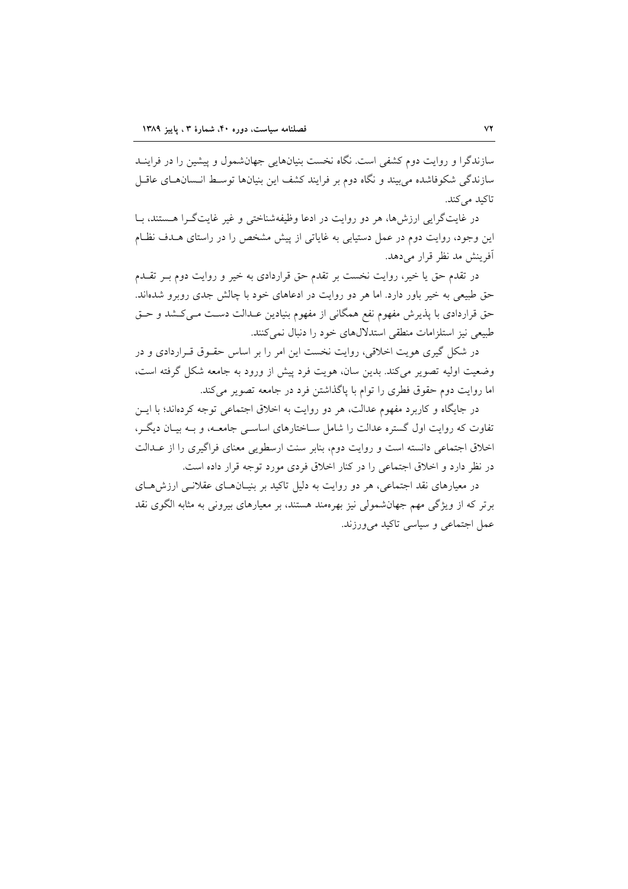سازندگرا و روایت دوم کشفی است. نگاه نخست بنیانهایی جهانشمول و پیشین را در فراینــد سازندگی شکوفاشده می بیند و نگاه دوم بر فرایند کشف این بنیانها توسط انـسانهـای عاقـل تاکید می کند.

در غایتگرایی ارزشها، هر دو روایت در ادعا وظیفهشناختی و غیر غایتگرا هستند، بـا این وجود، روایت دوم در عمل دستیابی به غایاتی از پیش مشخص را در راستای هـدف نظـام آفرینش مد نظر قرار می دهد.

در تقدم حق یا خیر، روایت نخست بر تقدم حق قراردادی به خیر و روایت دوم بـر تقـدم حق طبیعی به خیر باور دارد. اما هر دو روایت در ادعاهای خود با چالش جدی روبرو شدهاند. حق قراردادی با پذیرش مفهوم نفع همگانی از مفهوم بنیادین عـدالت دسـت مـیکـشد و حـق طبیعی نیز استلزامات منطقی استدلالهای خود را دنبال نمی کنند.

در شکل گیری هویت اخلاقی، روایت نخست این امر را بر اساس حقـوق قـراردادی و در وضعیت اولیه تصویر میکند. بدین سان، هویت فرد پیش از ورود به جامعه شکل گرفته است، اما روايت دوم حقوق فطري را توام با پاگذاشتن فرد در جامعه تصوير مي كند.

در جایگاه و کاربرد مفهوم عدالت، هر دو روایت به اخلاق اجتماعی توجه کردهاند؛ با ایسن تفاوت که روایت اول گستره عدالت را شامل سـاختارهای اساســی جامعــه، و بــه بیــان دیگــر، اخلاق اجتماعی دانسته است و روایت دوم، بنابر سنت ارسطویی معنای فراگیری را از عـدالت در نظر دارد و اخلاق اجتماعی را در کنار اخلاق فردی مورد توجه قرار داده است.

در معیارهای نقد اجتماعی، هر دو روایت به دلیل تاکید بر بنیـانهـای عقلانـی ارزشهـای برتر که از ویژگی مهم جهانشمولی نیز بهرهمند هستند، بر معیارهای بیرونی به مثابه الگوی نقد عمل اجتماعی و سیاسی تاکید میورزند.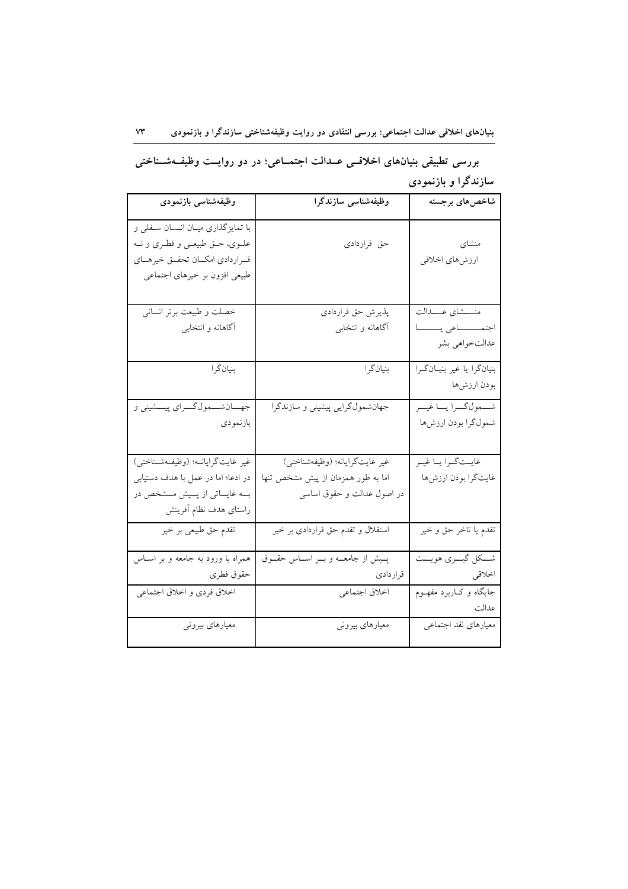## بررسی تطبیقی بنیانهای اخلاقسی عــدالت اجتمــاعی؛ در دو روایــت وظیفــهشــناختی سازندگرا و بازنمودی

| وظيفهشناسى بازنمودى                                                                                                                             | وظیفەشناسى سازندگرا                                                                                | شاخصهاي برجسته                                            |
|-------------------------------------------------------------------------------------------------------------------------------------------------|----------------------------------------------------------------------------------------------------|-----------------------------------------------------------|
| با تمایزگذاری میـان انــسان ســفلی و<br>علــوي، حــق طبيعــي و فطــري و نــه<br>قـراردادي امكـان تحقـق خيرهـاي<br>طبیعی افزون بر خیرهای اجتماعی | حق قراردادى                                                                                        | منشای<br>ارزشهاي اخلاقي                                   |
| __<br>خصلت و طبیعت برتر انسانی<br>آگاهانه و انتخابی                                                                                             | پذیرش حق قراردادی<br>آگاهانه و انتخابی                                                             | منسشاي عسدالت<br>اجتمــــــاعى يــــــا<br>عدالتخواهي بشر |
| بنيانگرا                                                                                                                                        | بنيانگرا                                                                                           | بنیانگرا یا غیر بنیـانگـرا<br>بودن ارزشها                 |
| جهـــانشــــمولگــــراي پيــــشيني و<br>بازنمودي                                                                                                | جهانشمولگرایی پیشینی و سازندگرا                                                                    | شمول گرا يا غير<br>شمول گرا بودن ارزشها                   |
| غير غايت گرايانــه؛ (وظيفــهشــناختى)<br>در ادعا؛ اما در عمل با هدف دستیابی<br>بــه غايـــاتي از پـــيش مـــشخص در<br>راستاى هدف نظام أفرينش    | غير غايتگرايانه؛ (وظيفهشناختي)<br>اما به طور همزمان از پیش مشخص تنها<br>در اصول عدالت و حقوق اساسی | غايـتگـرا يـا غيـر<br>غايتگرا بودن ارزشها                 |
| تقدم حق طبیعی بر خیر                                                                                                                            | استقلال و تقدم حق قراردادی بر خیر                                                                  | تقدم يا تاخر حق و خير                                     |
| همراه با ورود به جامعه و بر اسـاس<br>حقوق فطرى                                                                                                  | پسیش از جامعــه و بــر اســاس حقــوق<br>قراردادي                                                   | شــكل گيـــري هويـــت<br>اخلاقي                           |
| اخلاق فردى و اخلاق اجتماعي                                                                                                                      | اخلاق اجتماعي                                                                                      | جایگاه و کـاربرد مفهــوم<br>عدالت                         |
| معیارهای بیرونی                                                                                                                                 | معیارهای بیرونی                                                                                    | معيارهاي نقد اجتماعي                                      |